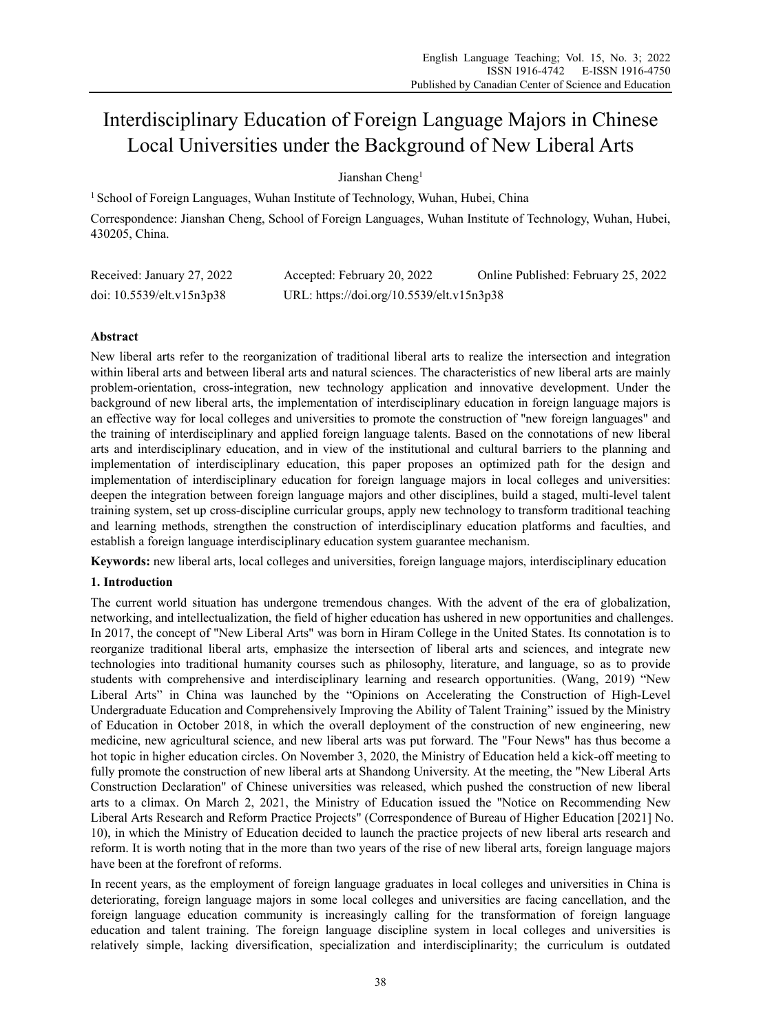# Interdisciplinary Education of Foreign Language Majors in Chinese Local Universities under the Background of New Liberal Arts

Jianshan Cheng<sup>1</sup>

<sup>1</sup> School of Foreign Languages, Wuhan Institute of Technology, Wuhan, Hubei, China Correspondence: Jianshan Cheng, School of Foreign Languages, Wuhan Institute of Technology, Wuhan, Hubei, 430205, China.

| Received: January 27, 2022 | Accepted: February 20, 2022               | Online Published: February 25, 2022 |
|----------------------------|-------------------------------------------|-------------------------------------|
| doi: 10.5539/elt.v15n3p38  | URL: https://doi.org/10.5539/elt.v15n3p38 |                                     |

## **Abstract**

New liberal arts refer to the reorganization of traditional liberal arts to realize the intersection and integration within liberal arts and between liberal arts and natural sciences. The characteristics of new liberal arts are mainly problem-orientation, cross-integration, new technology application and innovative development. Under the background of new liberal arts, the implementation of interdisciplinary education in foreign language majors is an effective way for local colleges and universities to promote the construction of "new foreign languages" and the training of interdisciplinary and applied foreign language talents. Based on the connotations of new liberal arts and interdisciplinary education, and in view of the institutional and cultural barriers to the planning and implementation of interdisciplinary education, this paper proposes an optimized path for the design and implementation of interdisciplinary education for foreign language majors in local colleges and universities: deepen the integration between foreign language majors and other disciplines, build a staged, multi-level talent training system, set up cross-discipline curricular groups, apply new technology to transform traditional teaching and learning methods, strengthen the construction of interdisciplinary education platforms and faculties, and establish a foreign language interdisciplinary education system guarantee mechanism.

**Keywords:** new liberal arts, local colleges and universities, foreign language majors, interdisciplinary education

## **1. Introduction**

The current world situation has undergone tremendous changes. With the advent of the era of globalization, networking, and intellectualization, the field of higher education has ushered in new opportunities and challenges. In 2017, the concept of "New Liberal Arts" was born in Hiram College in the United States. Its connotation is to reorganize traditional liberal arts, emphasize the intersection of liberal arts and sciences, and integrate new technologies into traditional humanity courses such as philosophy, literature, and language, so as to provide students with comprehensive and interdisciplinary learning and research opportunities. (Wang, 2019) "New Liberal Arts" in China was launched by the "Opinions on Accelerating the Construction of High-Level Undergraduate Education and Comprehensively Improving the Ability of Talent Training" issued by the Ministry of Education in October 2018, in which the overall deployment of the construction of new engineering, new medicine, new agricultural science, and new liberal arts was put forward. The "Four News" has thus become a hot topic in higher education circles. On November 3, 2020, the Ministry of Education held a kick-off meeting to fully promote the construction of new liberal arts at Shandong University. At the meeting, the "New Liberal Arts Construction Declaration" of Chinese universities was released, which pushed the construction of new liberal arts to a climax. On March 2, 2021, the Ministry of Education issued the "Notice on Recommending New Liberal Arts Research and Reform Practice Projects" (Correspondence of Bureau of Higher Education [2021] No. 10), in which the Ministry of Education decided to launch the practice projects of new liberal arts research and reform. It is worth noting that in the more than two years of the rise of new liberal arts, foreign language majors have been at the forefront of reforms.

In recent years, as the employment of foreign language graduates in local colleges and universities in China is deteriorating, foreign language majors in some local colleges and universities are facing cancellation, and the foreign language education community is increasingly calling for the transformation of foreign language education and talent training. The foreign language discipline system in local colleges and universities is relatively simple, lacking diversification, specialization and interdisciplinarity; the curriculum is outdated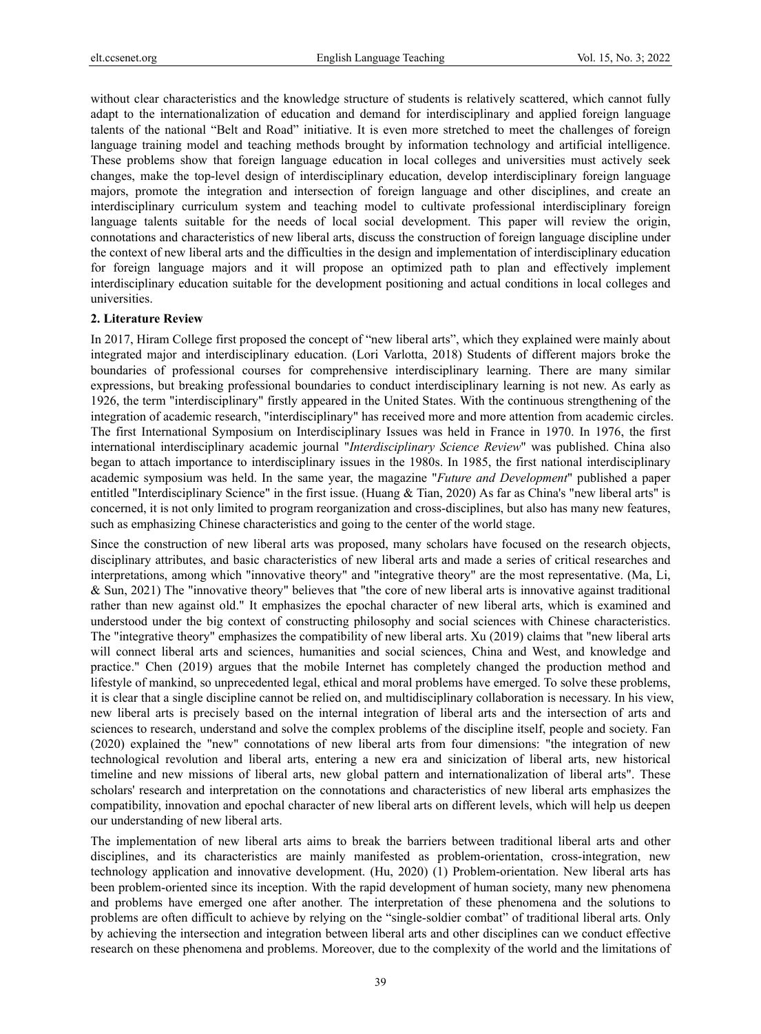without clear characteristics and the knowledge structure of students is relatively scattered, which cannot fully adapt to the internationalization of education and demand for interdisciplinary and applied foreign language talents of the national "Belt and Road" initiative. It is even more stretched to meet the challenges of foreign language training model and teaching methods brought by information technology and artificial intelligence. These problems show that foreign language education in local colleges and universities must actively seek changes, make the top-level design of interdisciplinary education, develop interdisciplinary foreign language majors, promote the integration and intersection of foreign language and other disciplines, and create an interdisciplinary curriculum system and teaching model to cultivate professional interdisciplinary foreign language talents suitable for the needs of local social development. This paper will review the origin, connotations and characteristics of new liberal arts, discuss the construction of foreign language discipline under the context of new liberal arts and the difficulties in the design and implementation of interdisciplinary education for foreign language majors and it will propose an optimized path to plan and effectively implement interdisciplinary education suitable for the development positioning and actual conditions in local colleges and universities.

#### **2. Literature Review**

In 2017, Hiram College first proposed the concept of "new liberal arts", which they explained were mainly about integrated major and interdisciplinary education. (Lori Varlotta, 2018) Students of different majors broke the boundaries of professional courses for comprehensive interdisciplinary learning. There are many similar expressions, but breaking professional boundaries to conduct interdisciplinary learning is not new. As early as 1926, the term "interdisciplinary" firstly appeared in the United States. With the continuous strengthening of the integration of academic research, "interdisciplinary" has received more and more attention from academic circles. The first International Symposium on Interdisciplinary Issues was held in France in 1970. In 1976, the first international interdisciplinary academic journal "*Interdisciplinary Science Review*" was published. China also began to attach importance to interdisciplinary issues in the 1980s. In 1985, the first national interdisciplinary academic symposium was held. In the same year, the magazine "*Future and Development*" published a paper entitled "Interdisciplinary Science" in the first issue. (Huang & Tian, 2020) As far as China's "new liberal arts" is concerned, it is not only limited to program reorganization and cross-disciplines, but also has many new features, such as emphasizing Chinese characteristics and going to the center of the world stage.

Since the construction of new liberal arts was proposed, many scholars have focused on the research objects, disciplinary attributes, and basic characteristics of new liberal arts and made a series of critical researches and interpretations, among which "innovative theory" and "integrative theory" are the most representative. (Ma, Li, & Sun, 2021) The "innovative theory" believes that "the core of new liberal arts is innovative against traditional rather than new against old." It emphasizes the epochal character of new liberal arts, which is examined and understood under the big context of constructing philosophy and social sciences with Chinese characteristics. The "integrative theory" emphasizes the compatibility of new liberal arts. Xu (2019) claims that "new liberal arts will connect liberal arts and sciences, humanities and social sciences, China and West, and knowledge and practice." Chen (2019) argues that the mobile Internet has completely changed the production method and lifestyle of mankind, so unprecedented legal, ethical and moral problems have emerged. To solve these problems, it is clear that a single discipline cannot be relied on, and multidisciplinary collaboration is necessary. In his view, new liberal arts is precisely based on the internal integration of liberal arts and the intersection of arts and sciences to research, understand and solve the complex problems of the discipline itself, people and society. Fan (2020) explained the "new" connotations of new liberal arts from four dimensions: "the integration of new technological revolution and liberal arts, entering a new era and sinicization of liberal arts, new historical timeline and new missions of liberal arts, new global pattern and internationalization of liberal arts". These scholars' research and interpretation on the connotations and characteristics of new liberal arts emphasizes the compatibility, innovation and epochal character of new liberal arts on different levels, which will help us deepen our understanding of new liberal arts.

The implementation of new liberal arts aims to break the barriers between traditional liberal arts and other disciplines, and its characteristics are mainly manifested as problem-orientation, cross-integration, new technology application and innovative development. (Hu, 2020) (1) Problem-orientation. New liberal arts has been problem-oriented since its inception. With the rapid development of human society, many new phenomena and problems have emerged one after another. The interpretation of these phenomena and the solutions to problems are often difficult to achieve by relying on the "single-soldier combat" of traditional liberal arts. Only by achieving the intersection and integration between liberal arts and other disciplines can we conduct effective research on these phenomena and problems. Moreover, due to the complexity of the world and the limitations of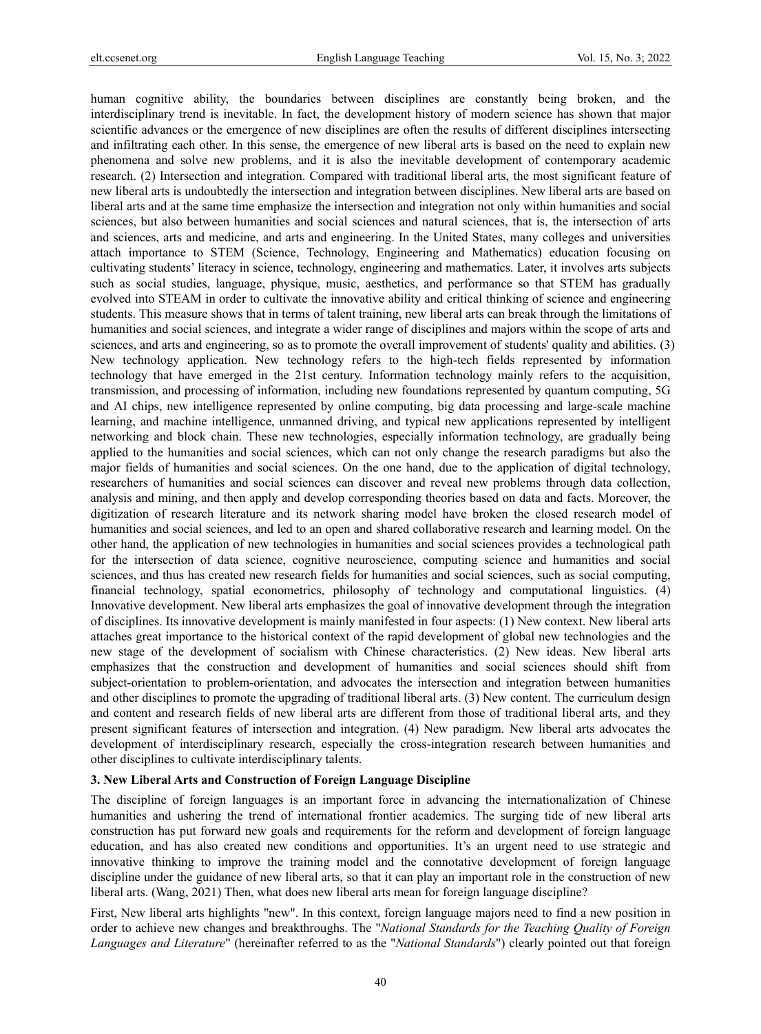human cognitive ability, the boundaries between disciplines are constantly being broken, and the interdisciplinary trend is inevitable. In fact, the development history of modern science has shown that major scientific advances or the emergence of new disciplines are often the results of different disciplines intersecting and infiltrating each other. In this sense, the emergence of new liberal arts is based on the need to explain new phenomena and solve new problems, and it is also the inevitable development of contemporary academic research. (2) Intersection and integration. Compared with traditional liberal arts, the most significant feature of new liberal arts is undoubtedly the intersection and integration between disciplines. New liberal arts are based on liberal arts and at the same time emphasize the intersection and integration not only within humanities and social sciences, but also between humanities and social sciences and natural sciences, that is, the intersection of arts and sciences, arts and medicine, and arts and engineering. In the United States, many colleges and universities attach importance to STEM (Science, Technology, Engineering and Mathematics) education focusing on cultivating students' literacy in science, technology, engineering and mathematics. Later, it involves arts subjects such as social studies, language, physique, music, aesthetics, and performance so that STEM has gradually evolved into STEAM in order to cultivate the innovative ability and critical thinking of science and engineering students. This measure shows that in terms of talent training, new liberal arts can break through the limitations of humanities and social sciences, and integrate a wider range of disciplines and majors within the scope of arts and sciences, and arts and engineering, so as to promote the overall improvement of students' quality and abilities. (3) New technology application. New technology refers to the high-tech fields represented by information technology that have emerged in the 21st century. Information technology mainly refers to the acquisition, transmission, and processing of information, including new foundations represented by quantum computing, 5G and AI chips, new intelligence represented by online computing, big data processing and large-scale machine learning, and machine intelligence, unmanned driving, and typical new applications represented by intelligent networking and block chain. These new technologies, especially information technology, are gradually being applied to the humanities and social sciences, which can not only change the research paradigms but also the major fields of humanities and social sciences. On the one hand, due to the application of digital technology, researchers of humanities and social sciences can discover and reveal new problems through data collection, analysis and mining, and then apply and develop corresponding theories based on data and facts. Moreover, the digitization of research literature and its network sharing model have broken the closed research model of humanities and social sciences, and led to an open and shared collaborative research and learning model. On the other hand, the application of new technologies in humanities and social sciences provides a technological path for the intersection of data science, cognitive neuroscience, computing science and humanities and social sciences, and thus has created new research fields for humanities and social sciences, such as social computing, financial technology, spatial econometrics, philosophy of technology and computational linguistics. (4) Innovative development. New liberal arts emphasizes the goal of innovative development through the integration of disciplines. Its innovative development is mainly manifested in four aspects: (1) New context. New liberal arts attaches great importance to the historical context of the rapid development of global new technologies and the new stage of the development of socialism with Chinese characteristics. (2) New ideas. New liberal arts emphasizes that the construction and development of humanities and social sciences should shift from subject-orientation to problem-orientation, and advocates the intersection and integration between humanities and other disciplines to promote the upgrading of traditional liberal arts. (3) New content. The curriculum design and content and research fields of new liberal arts are different from those of traditional liberal arts, and they present significant features of intersection and integration. (4) New paradigm. New liberal arts advocates the development of interdisciplinary research, especially the cross-integration research between humanities and other disciplines to cultivate interdisciplinary talents.

## **3. New Liberal Arts and Construction of Foreign Language Discipline**

The discipline of foreign languages is an important force in advancing the internationalization of Chinese humanities and ushering the trend of international frontier academics. The surging tide of new liberal arts construction has put forward new goals and requirements for the reform and development of foreign language education, and has also created new conditions and opportunities. It's an urgent need to use strategic and innovative thinking to improve the training model and the connotative development of foreign language discipline under the guidance of new liberal arts, so that it can play an important role in the construction of new liberal arts. (Wang, 2021) Then, what does new liberal arts mean for foreign language discipline?

First, New liberal arts highlights "new". In this context, foreign language majors need to find a new position in order to achieve new changes and breakthroughs. The "*National Standards for the Teaching Quality of Foreign Languages and Literature*" (hereinafter referred to as the "*National Standards*") clearly pointed out that foreign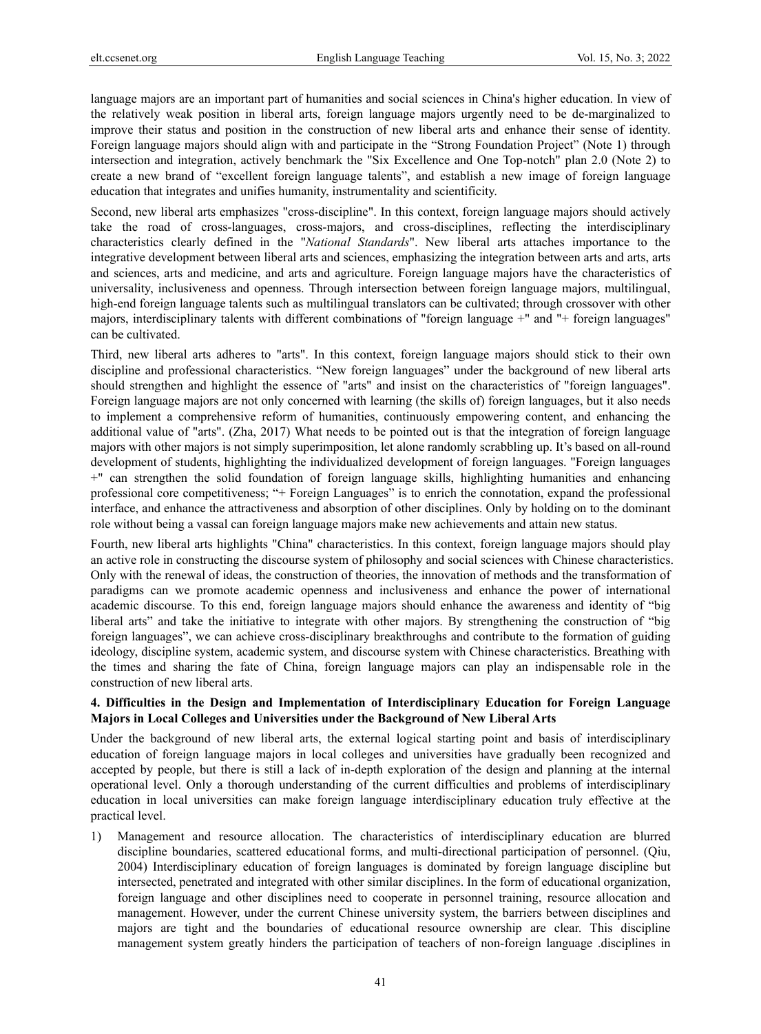language majors are an important part of humanities and social sciences in China's higher education. In view of the relatively weak position in liberal arts, foreign language majors urgently need to be de-marginalized to improve their status and position in the construction of new liberal arts and enhance their sense of identity. Foreign language majors should align with and participate in the "Strong Foundation Project" (Note 1) through intersection and integration, actively benchmark the "Six Excellence and One Top-notch" plan 2.0 (Note 2) to create a new brand of "excellent foreign language talents", and establish a new image of foreign language education that integrates and unifies humanity, instrumentality and scientificity.

Second, new liberal arts emphasizes "cross-discipline". In this context, foreign language majors should actively take the road of cross-languages, cross-majors, and cross-disciplines, reflecting the interdisciplinary characteristics clearly defined in the "*National Standards*". New liberal arts attaches importance to the integrative development between liberal arts and sciences, emphasizing the integration between arts and arts, arts and sciences, arts and medicine, and arts and agriculture. Foreign language majors have the characteristics of universality, inclusiveness and openness. Through intersection between foreign language majors, multilingual, high-end foreign language talents such as multilingual translators can be cultivated; through crossover with other majors, interdisciplinary talents with different combinations of "foreign language +" and "+ foreign languages" can be cultivated.

Third, new liberal arts adheres to "arts". In this context, foreign language majors should stick to their own discipline and professional characteristics. "New foreign languages" under the background of new liberal arts should strengthen and highlight the essence of "arts" and insist on the characteristics of "foreign languages". Foreign language majors are not only concerned with learning (the skills of) foreign languages, but it also needs to implement a comprehensive reform of humanities, continuously empowering content, and enhancing the additional value of "arts". (Zha, 2017) What needs to be pointed out is that the integration of foreign language majors with other majors is not simply superimposition, let alone randomly scrabbling up. It's based on all-round development of students, highlighting the individualized development of foreign languages. "Foreign languages +" can strengthen the solid foundation of foreign language skills, highlighting humanities and enhancing professional core competitiveness; "+ Foreign Languages" is to enrich the connotation, expand the professional interface, and enhance the attractiveness and absorption of other disciplines. Only by holding on to the dominant role without being a vassal can foreign language majors make new achievements and attain new status.

Fourth, new liberal arts highlights "China" characteristics. In this context, foreign language majors should play an active role in constructing the discourse system of philosophy and social sciences with Chinese characteristics. Only with the renewal of ideas, the construction of theories, the innovation of methods and the transformation of paradigms can we promote academic openness and inclusiveness and enhance the power of international academic discourse. To this end, foreign language majors should enhance the awareness and identity of "big liberal arts" and take the initiative to integrate with other majors. By strengthening the construction of "big foreign languages", we can achieve cross-disciplinary breakthroughs and contribute to the formation of guiding ideology, discipline system, academic system, and discourse system with Chinese characteristics. Breathing with the times and sharing the fate of China, foreign language majors can play an indispensable role in the construction of new liberal arts.

## **4. Difficulties in the Design and Implementation of Interdisciplinary Education for Foreign Language Majors in Local Colleges and Universities under the Background of New Liberal Arts**

Under the background of new liberal arts, the external logical starting point and basis of interdisciplinary education of foreign language majors in local colleges and universities have gradually been recognized and accepted by people, but there is still a lack of in-depth exploration of the design and planning at the internal operational level. Only a thorough understanding of the current difficulties and problems of interdisciplinary education in local universities can make foreign language interdisciplinary education truly effective at the practical level.

1) Management and resource allocation. The characteristics of interdisciplinary education are blurred discipline boundaries, scattered educational forms, and multi-directional participation of personnel. (Qiu, 2004) Interdisciplinary education of foreign languages is dominated by foreign language discipline but intersected, penetrated and integrated with other similar disciplines. In the form of educational organization, foreign language and other disciplines need to cooperate in personnel training, resource allocation and management. However, under the current Chinese university system, the barriers between disciplines and majors are tight and the boundaries of educational resource ownership are clear. This discipline management system greatly hinders the participation of teachers of non-foreign language .disciplines in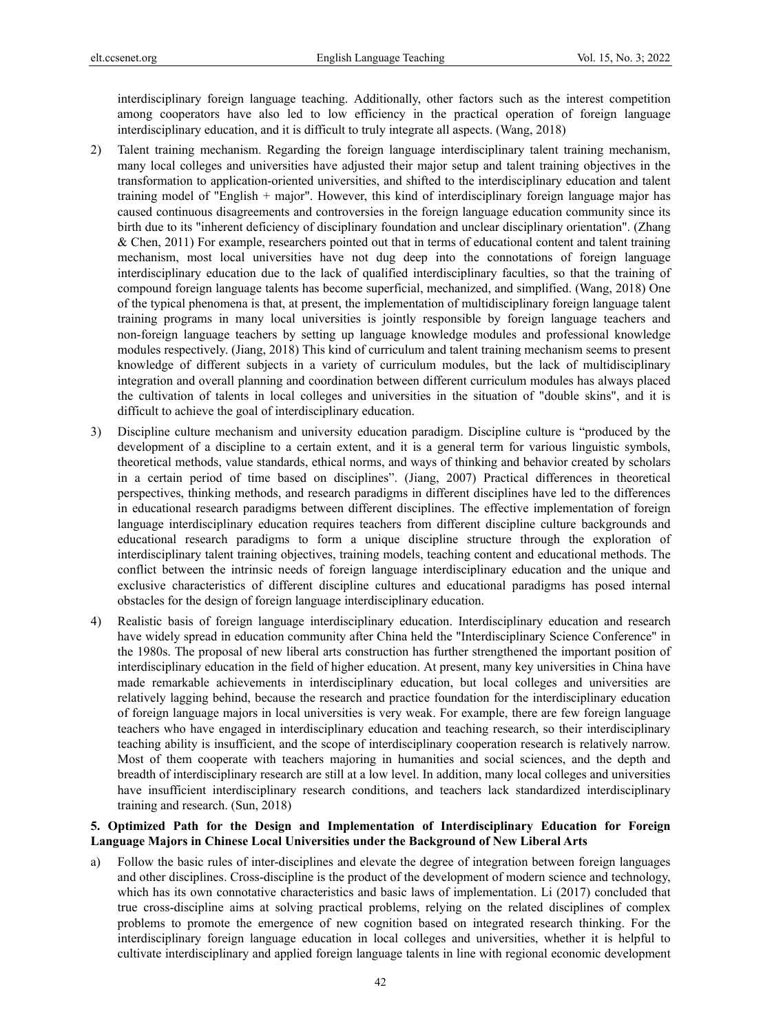interdisciplinary foreign language teaching. Additionally, other factors such as the interest competition among cooperators have also led to low efficiency in the practical operation of foreign language interdisciplinary education, and it is difficult to truly integrate all aspects. (Wang, 2018)

- 2) Talent training mechanism. Regarding the foreign language interdisciplinary talent training mechanism, many local colleges and universities have adjusted their major setup and talent training objectives in the transformation to application-oriented universities, and shifted to the interdisciplinary education and talent training model of "English + major". However, this kind of interdisciplinary foreign language major has caused continuous disagreements and controversies in the foreign language education community since its birth due to its "inherent deficiency of disciplinary foundation and unclear disciplinary orientation". (Zhang & Chen, 2011) For example, researchers pointed out that in terms of educational content and talent training mechanism, most local universities have not dug deep into the connotations of foreign language interdisciplinary education due to the lack of qualified interdisciplinary faculties, so that the training of compound foreign language talents has become superficial, mechanized, and simplified. (Wang, 2018) One of the typical phenomena is that, at present, the implementation of multidisciplinary foreign language talent training programs in many local universities is jointly responsible by foreign language teachers and non-foreign language teachers by setting up language knowledge modules and professional knowledge modules respectively. (Jiang, 2018) This kind of curriculum and talent training mechanism seems to present knowledge of different subjects in a variety of curriculum modules, but the lack of multidisciplinary integration and overall planning and coordination between different curriculum modules has always placed the cultivation of talents in local colleges and universities in the situation of "double skins", and it is difficult to achieve the goal of interdisciplinary education.
- 3) Discipline culture mechanism and university education paradigm. Discipline culture is "produced by the development of a discipline to a certain extent, and it is a general term for various linguistic symbols, theoretical methods, value standards, ethical norms, and ways of thinking and behavior created by scholars in a certain period of time based on disciplines". (Jiang, 2007) Practical differences in theoretical perspectives, thinking methods, and research paradigms in different disciplines have led to the differences in educational research paradigms between different disciplines. The effective implementation of foreign language interdisciplinary education requires teachers from different discipline culture backgrounds and educational research paradigms to form a unique discipline structure through the exploration of interdisciplinary talent training objectives, training models, teaching content and educational methods. The conflict between the intrinsic needs of foreign language interdisciplinary education and the unique and exclusive characteristics of different discipline cultures and educational paradigms has posed internal obstacles for the design of foreign language interdisciplinary education.
- 4) Realistic basis of foreign language interdisciplinary education. Interdisciplinary education and research have widely spread in education community after China held the "Interdisciplinary Science Conference" in the 1980s. The proposal of new liberal arts construction has further strengthened the important position of interdisciplinary education in the field of higher education. At present, many key universities in China have made remarkable achievements in interdisciplinary education, but local colleges and universities are relatively lagging behind, because the research and practice foundation for the interdisciplinary education of foreign language majors in local universities is very weak. For example, there are few foreign language teachers who have engaged in interdisciplinary education and teaching research, so their interdisciplinary teaching ability is insufficient, and the scope of interdisciplinary cooperation research is relatively narrow. Most of them cooperate with teachers majoring in humanities and social sciences, and the depth and breadth of interdisciplinary research are still at a low level. In addition, many local colleges and universities have insufficient interdisciplinary research conditions, and teachers lack standardized interdisciplinary training and research. (Sun, 2018)

## **5. Optimized Path for the Design and Implementation of Interdisciplinary Education for Foreign Language Majors in Chinese Local Universities under the Background of New Liberal Arts**

a) Follow the basic rules of inter-disciplines and elevate the degree of integration between foreign languages and other disciplines. Cross-discipline is the product of the development of modern science and technology, which has its own connotative characteristics and basic laws of implementation. Li (2017) concluded that true cross-discipline aims at solving practical problems, relying on the related disciplines of complex problems to promote the emergence of new cognition based on integrated research thinking. For the interdisciplinary foreign language education in local colleges and universities, whether it is helpful to cultivate interdisciplinary and applied foreign language talents in line with regional economic development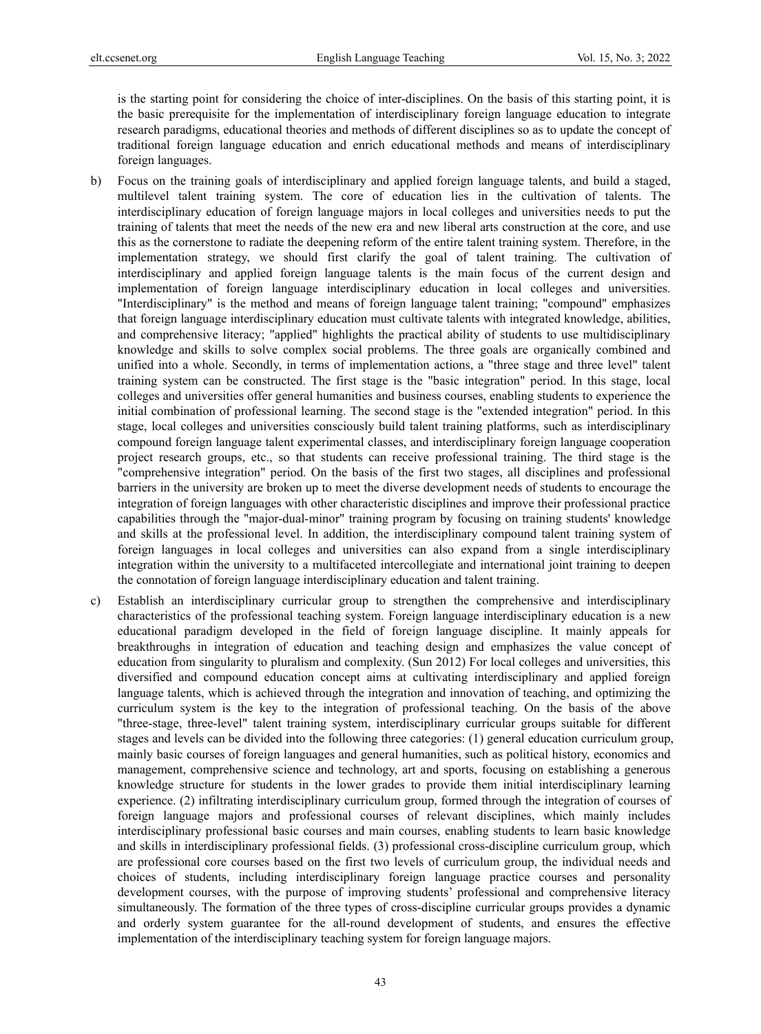is the starting point for considering the choice of inter-disciplines. On the basis of this starting point, it is the basic prerequisite for the implementation of interdisciplinary foreign language education to integrate research paradigms, educational theories and methods of different disciplines so as to update the concept of traditional foreign language education and enrich educational methods and means of interdisciplinary foreign languages.

- b) Focus on the training goals of interdisciplinary and applied foreign language talents, and build a staged, multilevel talent training system. The core of education lies in the cultivation of talents. The interdisciplinary education of foreign language majors in local colleges and universities needs to put the training of talents that meet the needs of the new era and new liberal arts construction at the core, and use this as the cornerstone to radiate the deepening reform of the entire talent training system. Therefore, in the implementation strategy, we should first clarify the goal of talent training. The cultivation of interdisciplinary and applied foreign language talents is the main focus of the current design and implementation of foreign language interdisciplinary education in local colleges and universities. "Interdisciplinary" is the method and means of foreign language talent training; "compound" emphasizes that foreign language interdisciplinary education must cultivate talents with integrated knowledge, abilities, and comprehensive literacy; "applied" highlights the practical ability of students to use multidisciplinary knowledge and skills to solve complex social problems. The three goals are organically combined and unified into a whole. Secondly, in terms of implementation actions, a "three stage and three level" talent training system can be constructed. The first stage is the "basic integration" period. In this stage, local colleges and universities offer general humanities and business courses, enabling students to experience the initial combination of professional learning. The second stage is the "extended integration" period. In this stage, local colleges and universities consciously build talent training platforms, such as interdisciplinary compound foreign language talent experimental classes, and interdisciplinary foreign language cooperation project research groups, etc., so that students can receive professional training. The third stage is the "comprehensive integration" period. On the basis of the first two stages, all disciplines and professional barriers in the university are broken up to meet the diverse development needs of students to encourage the integration of foreign languages with other characteristic disciplines and improve their professional practice capabilities through the "major-dual-minor" training program by focusing on training students' knowledge and skills at the professional level. In addition, the interdisciplinary compound talent training system of foreign languages in local colleges and universities can also expand from a single interdisciplinary integration within the university to a multifaceted intercollegiate and international joint training to deepen the connotation of foreign language interdisciplinary education and talent training.
- c) Establish an interdisciplinary curricular group to strengthen the comprehensive and interdisciplinary characteristics of the professional teaching system. Foreign language interdisciplinary education is a new educational paradigm developed in the field of foreign language discipline. It mainly appeals for breakthroughs in integration of education and teaching design and emphasizes the value concept of education from singularity to pluralism and complexity. (Sun 2012) For local colleges and universities, this diversified and compound education concept aims at cultivating interdisciplinary and applied foreign language talents, which is achieved through the integration and innovation of teaching, and optimizing the curriculum system is the key to the integration of professional teaching. On the basis of the above "three-stage, three-level" talent training system, interdisciplinary curricular groups suitable for different stages and levels can be divided into the following three categories: (1) general education curriculum group, mainly basic courses of foreign languages and general humanities, such as political history, economics and management, comprehensive science and technology, art and sports, focusing on establishing a generous knowledge structure for students in the lower grades to provide them initial interdisciplinary learning experience. (2) infiltrating interdisciplinary curriculum group, formed through the integration of courses of foreign language majors and professional courses of relevant disciplines, which mainly includes interdisciplinary professional basic courses and main courses, enabling students to learn basic knowledge and skills in interdisciplinary professional fields. (3) professional cross-discipline curriculum group, which are professional core courses based on the first two levels of curriculum group, the individual needs and choices of students, including interdisciplinary foreign language practice courses and personality development courses, with the purpose of improving students' professional and comprehensive literacy simultaneously. The formation of the three types of cross-discipline curricular groups provides a dynamic and orderly system guarantee for the all-round development of students, and ensures the effective implementation of the interdisciplinary teaching system for foreign language majors.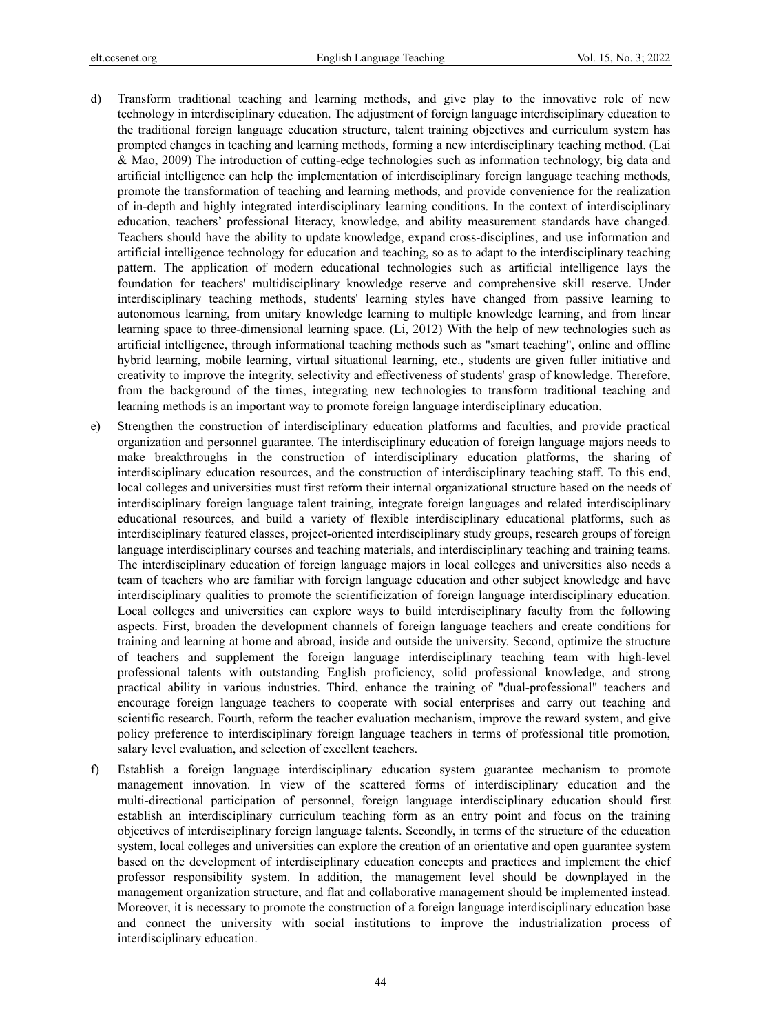- d) Transform traditional teaching and learning methods, and give play to the innovative role of new technology in interdisciplinary education. The adjustment of foreign language interdisciplinary education to the traditional foreign language education structure, talent training objectives and curriculum system has prompted changes in teaching and learning methods, forming a new interdisciplinary teaching method. (Lai & Mao, 2009) The introduction of cutting-edge technologies such as information technology, big data and artificial intelligence can help the implementation of interdisciplinary foreign language teaching methods, promote the transformation of teaching and learning methods, and provide convenience for the realization of in-depth and highly integrated interdisciplinary learning conditions. In the context of interdisciplinary education, teachers' professional literacy, knowledge, and ability measurement standards have changed. Teachers should have the ability to update knowledge, expand cross-disciplines, and use information and artificial intelligence technology for education and teaching, so as to adapt to the interdisciplinary teaching pattern. The application of modern educational technologies such as artificial intelligence lays the foundation for teachers' multidisciplinary knowledge reserve and comprehensive skill reserve. Under interdisciplinary teaching methods, students' learning styles have changed from passive learning to autonomous learning, from unitary knowledge learning to multiple knowledge learning, and from linear learning space to three-dimensional learning space. (Li, 2012) With the help of new technologies such as artificial intelligence, through informational teaching methods such as "smart teaching", online and offline hybrid learning, mobile learning, virtual situational learning, etc., students are given fuller initiative and creativity to improve the integrity, selectivity and effectiveness of students' grasp of knowledge. Therefore, from the background of the times, integrating new technologies to transform traditional teaching and learning methods is an important way to promote foreign language interdisciplinary education.
- e) Strengthen the construction of interdisciplinary education platforms and faculties, and provide practical organization and personnel guarantee. The interdisciplinary education of foreign language majors needs to make breakthroughs in the construction of interdisciplinary education platforms, the sharing of interdisciplinary education resources, and the construction of interdisciplinary teaching staff. To this end, local colleges and universities must first reform their internal organizational structure based on the needs of interdisciplinary foreign language talent training, integrate foreign languages and related interdisciplinary educational resources, and build a variety of flexible interdisciplinary educational platforms, such as interdisciplinary featured classes, project-oriented interdisciplinary study groups, research groups of foreign language interdisciplinary courses and teaching materials, and interdisciplinary teaching and training teams. The interdisciplinary education of foreign language majors in local colleges and universities also needs a team of teachers who are familiar with foreign language education and other subject knowledge and have interdisciplinary qualities to promote the scientificization of foreign language interdisciplinary education. Local colleges and universities can explore ways to build interdisciplinary faculty from the following aspects. First, broaden the development channels of foreign language teachers and create conditions for training and learning at home and abroad, inside and outside the university. Second, optimize the structure of teachers and supplement the foreign language interdisciplinary teaching team with high-level professional talents with outstanding English proficiency, solid professional knowledge, and strong practical ability in various industries. Third, enhance the training of "dual-professional" teachers and encourage foreign language teachers to cooperate with social enterprises and carry out teaching and scientific research. Fourth, reform the teacher evaluation mechanism, improve the reward system, and give policy preference to interdisciplinary foreign language teachers in terms of professional title promotion, salary level evaluation, and selection of excellent teachers.
- f) Establish a foreign language interdisciplinary education system guarantee mechanism to promote management innovation. In view of the scattered forms of interdisciplinary education and the multi-directional participation of personnel, foreign language interdisciplinary education should first establish an interdisciplinary curriculum teaching form as an entry point and focus on the training objectives of interdisciplinary foreign language talents. Secondly, in terms of the structure of the education system, local colleges and universities can explore the creation of an orientative and open guarantee system based on the development of interdisciplinary education concepts and practices and implement the chief professor responsibility system. In addition, the management level should be downplayed in the management organization structure, and flat and collaborative management should be implemented instead. Moreover, it is necessary to promote the construction of a foreign language interdisciplinary education base and connect the university with social institutions to improve the industrialization process of interdisciplinary education.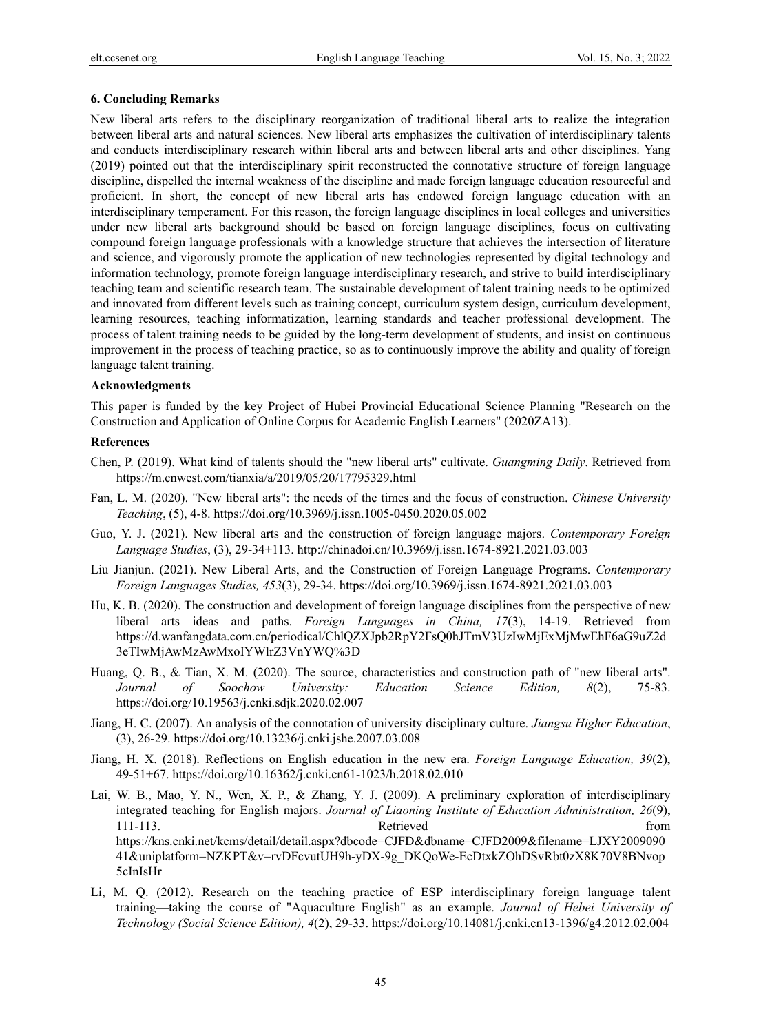## **6. Concluding Remarks**

New liberal arts refers to the disciplinary reorganization of traditional liberal arts to realize the integration between liberal arts and natural sciences. New liberal arts emphasizes the cultivation of interdisciplinary talents and conducts interdisciplinary research within liberal arts and between liberal arts and other disciplines. Yang (2019) pointed out that the interdisciplinary spirit reconstructed the connotative structure of foreign language discipline, dispelled the internal weakness of the discipline and made foreign language education resourceful and proficient. In short, the concept of new liberal arts has endowed foreign language education with an interdisciplinary temperament. For this reason, the foreign language disciplines in local colleges and universities under new liberal arts background should be based on foreign language disciplines, focus on cultivating compound foreign language professionals with a knowledge structure that achieves the intersection of literature and science, and vigorously promote the application of new technologies represented by digital technology and information technology, promote foreign language interdisciplinary research, and strive to build interdisciplinary teaching team and scientific research team. The sustainable development of talent training needs to be optimized and innovated from different levels such as training concept, curriculum system design, curriculum development, learning resources, teaching informatization, learning standards and teacher professional development. The process of talent training needs to be guided by the long-term development of students, and insist on continuous improvement in the process of teaching practice, so as to continuously improve the ability and quality of foreign language talent training.

## **Acknowledgments**

This paper is funded by the key Project of Hubei Provincial Educational Science Planning "Research on the Construction and Application of Online Corpus for Academic English Learners" (2020ZA13).

## **References**

- Chen, P. (2019). What kind of talents should the "new liberal arts" cultivate. *Guangming Daily*. Retrieved from https://m.cnwest.com/tianxia/a/2019/05/20/17795329.html
- Fan, L. M. (2020). "New liberal arts": the needs of the times and the focus of construction. *Chinese University Teaching*, (5), 4-8. https://doi.org/10.3969/j.issn.1005-0450.2020.05.002
- Guo, Y. J. (2021). New liberal arts and the construction of foreign language majors. *Contemporary Foreign Language Studies*, (3), 29-34+113. http://chinadoi.cn/10.3969/j.issn.1674-8921.2021.03.003
- Liu Jianjun. (2021). New Liberal Arts, and the Construction of Foreign Language Programs. *Contemporary Foreign Languages Studies, 453*(3), 29-34. https://doi.org/10.3969/j.issn.1674-8921.2021.03.003
- Hu, K. B. (2020). The construction and development of foreign language disciplines from the perspective of new liberal arts—ideas and paths. *Foreign Languages in China, 17*(3), 14-19. Retrieved from https://d.wanfangdata.com.cn/periodical/ChlQZXJpb2RpY2FsQ0hJTmV3UzIwMjExMjMwEhF6aG9uZ2d 3eTIwMjAwMzAwMxoIYWlrZ3VnYWQ%3D
- Huang, Q. B., & Tian, X. M. (2020). The source, characteristics and construction path of "new liberal arts". *Journal of Soochow University: Education Science Edition, 8*(2), 75-83. https://doi.org/10.19563/j.cnki.sdjk.2020.02.007
- Jiang, H. C. (2007). An analysis of the connotation of university disciplinary culture. *Jiangsu Higher Education*, (3), 26-29. https://doi.org/10.13236/j.cnki.jshe.2007.03.008
- Jiang, H. X. (2018). Reflections on English education in the new era. *Foreign Language Education, 39*(2), 49-51+67. https://doi.org/10.16362/j.cnki.cn61-1023/h.2018.02.010
- Lai, W. B., Mao, Y. N., Wen, X. P., & Zhang, Y. J. (2009). A preliminary exploration of interdisciplinary integrated teaching for English majors. *Journal of Liaoning Institute of Education Administration, 26*(9), 111-113. Retrieved from  $\blacksquare$ https://kns.cnki.net/kcms/detail/detail.aspx?dbcode=CJFD&dbname=CJFD2009&filename=LJXY2009090 41&uniplatform=NZKPT&v=rvDFcvutUH9h-yDX-9g\_DKQoWe-EcDtxkZOhDSvRbt0zX8K70V8BNvop 5cInIsHr
- Li, M. Q. (2012). Research on the teaching practice of ESP interdisciplinary foreign language talent training—taking the course of "Aquaculture English" as an example. *Journal of Hebei University of Technology (Social Science Edition), 4*(2), 29-33. https://doi.org/10.14081/j.cnki.cn13-1396/g4.2012.02.004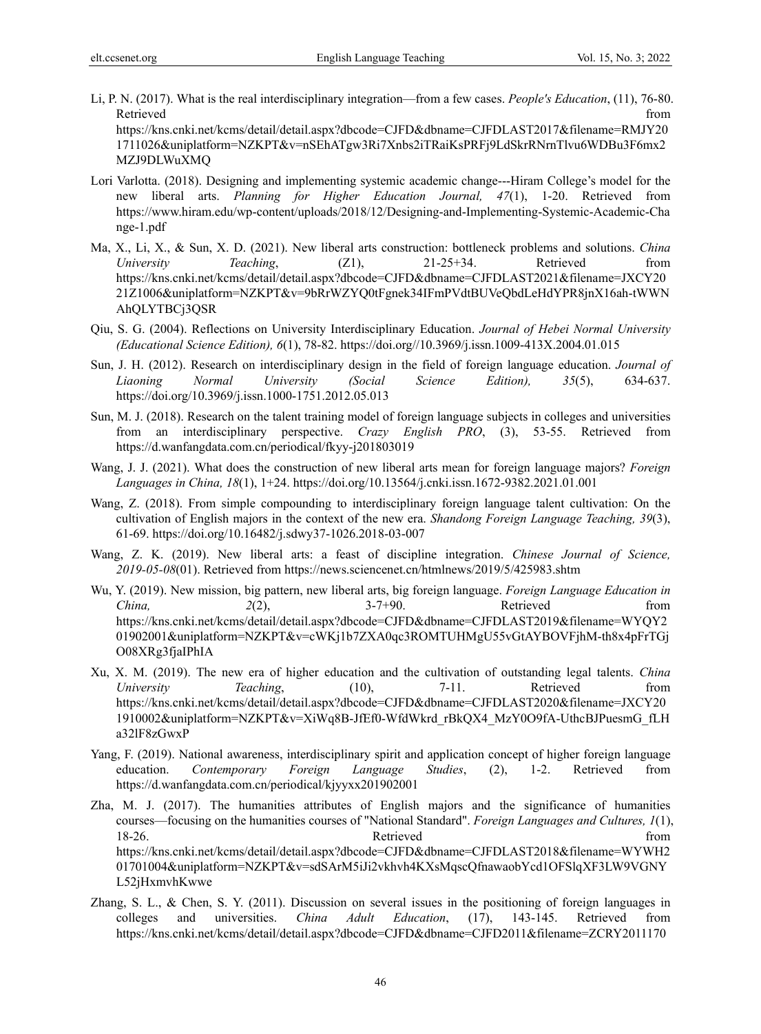MZJ9DLWuXMQ

Li, P. N. (2017). What is the real interdisciplinary integration—from a few cases. *People's Education*, (11), 76-80. Retrieved that the contract of the contract of the contract of the contract of the contract of the contract of the contract of the contract of the contract of the contract of the contract of the contract of the contract of https://kns.cnki.net/kcms/detail/detail.aspx?dbcode=CJFD&dbname=CJFDLAST2017&filename=RMJY20 1711026&uniplatform=NZKPT&v=nSEhATgw3Ri7Xnbs2iTRaiKsPRFj9LdSkrRNrnTlvu6WDBu3F6mx2

Lori Varlotta. (2018). Designing and implementing systemic academic change---Hiram College's model for the new liberal arts. *Planning for Higher Education Journal, 47*(1), 1-20. Retrieved from https://www.hiram.edu/wp-content/uploads/2018/12/Designing-and-Implementing-Systemic-Academic-Cha nge-1.pdf

- Ma, X., Li, X., & Sun, X. D. (2021). New liberal arts construction: bottleneck problems and solutions. *China University Teaching*, (Z1), 21-25+34. Retrieved from https://kns.cnki.net/kcms/detail/detail.aspx?dbcode=CJFD&dbname=CJFDLAST2021&filename=JXCY20 21Z1006&uniplatform=NZKPT&v=9bRrWZYQ0tFgnek34IFmPVdtBUVeQbdLeHdYPR8jnX16ah-tWWN AhQLYTBCj3QSR
- Qiu, S. G. (2004). Reflections on University Interdisciplinary Education. *Journal of Hebei Normal University (Educational Science Edition), 6*(1), 78-82. https://doi.org//10.3969/j.issn.1009-413X.2004.01.015
- Sun, J. H. (2012). Research on interdisciplinary design in the field of foreign language education. *Journal of Liaoning Normal University (Social Science Edition), 35*(5), 634-637. https://doi.org/10.3969/j.issn.1000-1751.2012.05.013
- Sun, M. J. (2018). Research on the talent training model of foreign language subjects in colleges and universities from an interdisciplinary perspective. *Crazy English PRO*, (3), 53-55. Retrieved from https://d.wanfangdata.com.cn/periodical/fkyy-j201803019
- Wang, J. J. (2021). What does the construction of new liberal arts mean for foreign language majors? *Foreign Languages in China, 18*(1), 1+24. https://doi.org/10.13564/j.cnki.issn.1672-9382.2021.01.001
- Wang, Z. (2018). From simple compounding to interdisciplinary foreign language talent cultivation: On the cultivation of English majors in the context of the new era. *Shandong Foreign Language Teaching, 39*(3), 61-69. https://doi.org/10.16482/j.sdwy37-1026.2018-03-007
- Wang, Z. K. (2019). New liberal arts: a feast of discipline integration. *Chinese Journal of Science, 2019-05-08*(01). Retrieved from https://news.sciencenet.cn/htmlnews/2019/5/425983.shtm
- Wu, Y. (2019). New mission, big pattern, new liberal arts, big foreign language. *Foreign Language Education in China, 2*(2), 3-7+90. Retrieved from https://kns.cnki.net/kcms/detail/detail.aspx?dbcode=CJFD&dbname=CJFDLAST2019&filename=WYQY2 01902001&uniplatform=NZKPT&v=cWKj1b7ZXA0qc3ROMTUHMgU55vGtAYBOVFjhM-th8x4pFrTGj O08XRg3fjaIPhIA
- Xu, X. M. (2019). The new era of higher education and the cultivation of outstanding legal talents. *China University Teaching*, (10), 7-11. Retrieved from https://kns.cnki.net/kcms/detail/detail.aspx?dbcode=CJFD&dbname=CJFDLAST2020&filename=JXCY20 1910002&uniplatform=NZKPT&v=XiWq8B-JfEf0-WfdWkrd\_rBkQX4\_MzY0O9fA-UthcBJPuesmG\_fLH a32lF8zGwxP
- Yang, F. (2019). National awareness, interdisciplinary spirit and application concept of higher foreign language education. *Contemporary Foreign Language Studies*, (2), 1-2. Retrieved from https://d.wanfangdata.com.cn/periodical/kjyyxx201902001
- Zha, M. J. (2017). The humanities attributes of English majors and the significance of humanities courses—focusing on the humanities courses of "National Standard". *Foreign Languages and Cultures, 1*(1), 18-26. The contract of the contract of the Retrieved from the contract of the contract of the contract of the contract of the contract of the contract of the contract of the contract of the contract of the contract of the https://kns.cnki.net/kcms/detail/detail.aspx?dbcode=CJFD&dbname=CJFDLAST2018&filename=WYWH2 01701004&uniplatform=NZKPT&v=sdSArM5iJi2vkhvh4KXsMqscQfnawaobYcd1OFSlqXF3LW9VGNY L52jHxmvhKwwe
- Zhang, S. L., & Chen, S. Y. (2011). Discussion on several issues in the positioning of foreign languages in colleges and universities. *China Adult Education*, (17), 143-145. Retrieved from https://kns.cnki.net/kcms/detail/detail.aspx?dbcode=CJFD&dbname=CJFD2011&filename=ZCRY2011170